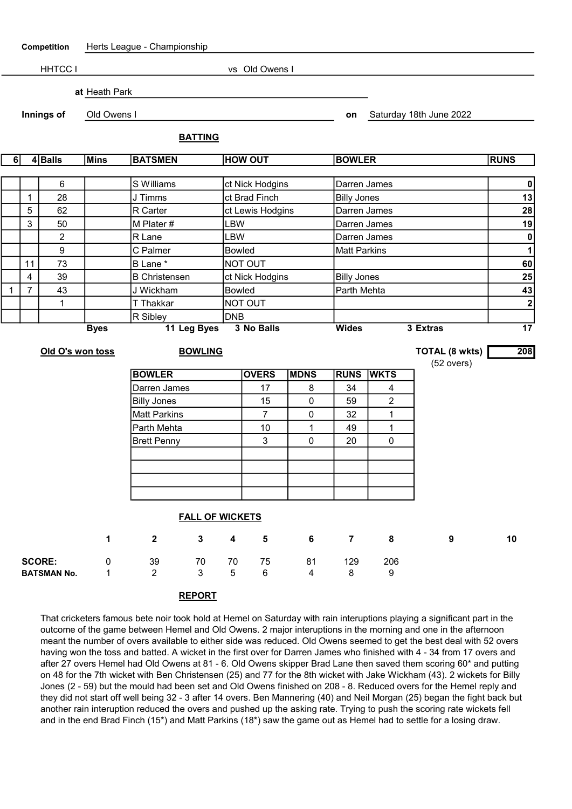| Competition        |                | Herts League - Championship |                               |                      |    |                  |                 |             |                    |                     |                         |                    |
|--------------------|----------------|-----------------------------|-------------------------------|----------------------|----|------------------|-----------------|-------------|--------------------|---------------------|-------------------------|--------------------|
|                    |                | HHTCC I                     | vs Old Owens I                |                      |    |                  |                 |             |                    |                     |                         |                    |
|                    |                |                             | at Heath Park                 |                      |    |                  |                 |             |                    |                     |                         |                    |
| Innings of         |                |                             | Old Owens I                   |                      |    |                  |                 |             | on                 |                     | Saturday 18th June 2022 |                    |
|                    |                |                             | <b>BATTING</b>                |                      |    |                  |                 |             |                    |                     |                         |                    |
| 6                  |                | $4 $ Balls                  | <b>Mins</b><br><b>BATSMEN</b> |                      |    |                  | <b>HOW OUT</b>  |             |                    | <b>BOWLER</b>       |                         | <b>RUNS</b>        |
|                    |                |                             |                               |                      |    |                  |                 |             |                    |                     |                         |                    |
|                    | 6              |                             |                               | S Williams           |    |                  | ct Nick Hodgins |             |                    | Darren James        |                         |                    |
| 28<br>$\mathbf{1}$ |                |                             | J Timms                       |                      |    | ct Brad Finch    |                 |             | <b>Billy Jones</b> |                     |                         |                    |
| 5<br>62            |                |                             | R Carter                      |                      |    | ct Lewis Hodgins |                 |             | Darren James       |                     |                         |                    |
| 3<br>50            |                |                             |                               | M Plater #           |    |                  | LBW             |             |                    | Darren James        |                         |                    |
| $\overline{c}$     |                |                             |                               | R Lane               |    |                  | LBW             |             |                    | Darren James        |                         |                    |
| 9                  |                |                             |                               | C Palmer             |    |                  | <b>Bowled</b>   |             |                    | <b>Matt Parkins</b> |                         |                    |
|                    | 11             | 73                          | B Lane *                      |                      |    | NOT OUT          |                 |             |                    |                     |                         | $\mathbf{1}$<br>60 |
|                    | 4              | 39                          |                               | <b>B</b> Christensen |    | ct Nick Hodgins  |                 |             |                    | <b>Billy Jones</b>  |                         |                    |
| 1                  | $\overline{7}$ | 43                          |                               | J Wickham            |    |                  | <b>Bowled</b>   |             |                    | Parth Mehta         |                         |                    |
| 1                  |                |                             |                               | T Thakkar            |    |                  | NOT OUT         |             |                    |                     |                         | 43<br>$\mathbf{2}$ |
|                    |                |                             |                               | R Sibley             |    |                  | <b>DNB</b>      |             |                    |                     |                         |                    |
|                    |                |                             | 11 Leg Byes<br><b>Byes</b>    |                      |    |                  | 3 No Balls      |             |                    |                     | 3 Extras                | $\overline{17}$    |
|                    |                | Old O's won toss            | <b>BOWLING</b>                |                      |    |                  |                 |             |                    |                     | <b>TOTAL (8 wkts)</b>   | 208                |
|                    |                |                             |                               |                      |    |                  |                 |             |                    |                     | $(52 \text{ overs})$    |                    |
|                    |                |                             |                               | <b>BOWLER</b>        |    |                  | <b>OVERS</b>    | <b>MDNS</b> |                    | <b>RUNS WKTS</b>    |                         |                    |
|                    |                |                             |                               | Darren James         |    |                  | 17              | 8           | 34                 | $\overline{4}$      |                         |                    |
|                    |                |                             |                               | <b>Billy Jones</b>   |    |                  | 15              | 0           | 59                 | $\overline{c}$      |                         |                    |
|                    |                |                             |                               | <b>Matt Parkins</b>  |    |                  | $\overline{7}$  | 0           | 32                 | 1                   |                         |                    |
|                    |                |                             |                               | Parth Mehta          |    |                  | 10              | 1           | 49                 | 1                   |                         |                    |
|                    |                |                             |                               | <b>Brett Penny</b>   |    |                  | 3               | 0           | 20                 | $\mathbf 0$         |                         |                    |
|                    |                |                             |                               |                      |    |                  |                 |             |                    |                     |                         |                    |
|                    |                |                             |                               |                      |    |                  |                 |             |                    |                     |                         |                    |
|                    |                |                             |                               |                      |    |                  |                 |             |                    |                     |                         |                    |
|                    |                |                             |                               |                      |    |                  |                 |             |                    |                     |                         |                    |
|                    |                |                             |                               |                      |    |                  |                 |             |                    |                     |                         |                    |
|                    |                |                             | <b>FALL OF WICKETS</b>        |                      |    |                  |                 |             |                    |                     |                         |                    |
|                    |                |                             | $\mathbf 1$                   | $\mathbf{2}$         | 3  | $\boldsymbol{4}$ | $5\phantom{1}$  | 6           | $\overline{7}$     | 8                   | 9                       | 10                 |
|                    |                | <b>SCORE:</b>               | 0                             | 39                   | 70 | 70               | 75              | 81          | 129                | 206                 |                         |                    |
| <b>BATSMAN No.</b> |                | 1                           | $\overline{2}$                | 3                    | 5  | 6                | 4               | 8           | 9                  |                     |                         |                    |
|                    |                |                             |                               |                      |    |                  |                 |             |                    |                     |                         |                    |

## REPORT

That cricketers famous bete noir took hold at Hemel on Saturday with rain interuptions playing a significant part in the outcome of the game between Hemel and Old Owens. 2 major interuptions in the morning and one in the afternoon meant the number of overs available to either side was reduced. Old Owens seemed to get the best deal with 52 overs having won the toss and batted. A wicket in the first over for Darren James who finished with 4 - 34 from 17 overs and after 27 overs Hemel had Old Owens at 81 - 6. Old Owens skipper Brad Lane then saved them scoring 60\* and putting on 48 for the 7th wicket with Ben Christensen (25) and 77 for the 8th wicket with Jake Wickham (43). 2 wickets for Billy Jones (2 - 59) but the mould had been set and Old Owens finished on 208 - 8. Reduced overs for the Hemel reply and they did not start off well being 32 - 3 after 14 overs. Ben Mannering (40) and Neil Morgan (25) began the fight back but another rain interuption reduced the overs and pushed up the asking rate. Trying to push the scoring rate wickets fell and in the end Brad Finch (15\*) and Matt Parkins (18\*) saw the game out as Hemel had to settle for a losing draw.